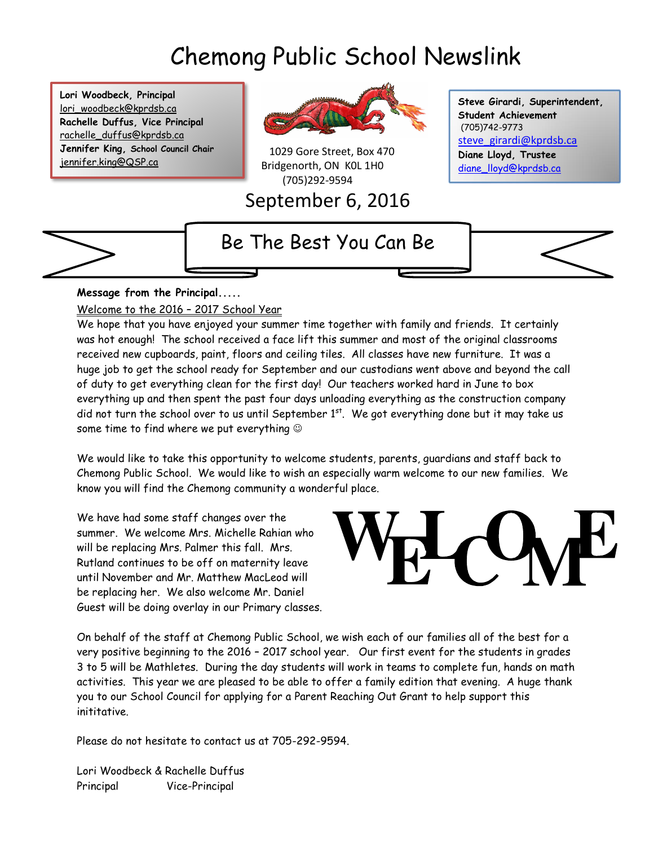# Chemong Public School Newslink

**Lori Woodbeck, Principal** lori\_woodbeck@kprdsb.ca **Rachelle Duffus, Vice Principal** rachelle\_duffus@kprdsb.ca **Jennifer King, School Council Chair** jennifer.king@QSP.ca



 1029 Gore Street, Box 470 Bridgenorth, ON K0L 1H0 (705)292-9594

September 6, 2016

**Steve Girardi, Superintendent, Student Achievement** (705)742-9773 [steve\\_girardi@kprdsb.ca](mailto:steve_girardi@kprdsb.ca) **Diane Lloyd, Trustee** [diane\\_lloyd@kprdsb.ca](mailto:diane_lloyd@kprdsb.ca)

### Be The Best You Can Be



#### **Message from the Principal.....**

Welcome to the 2016 – 2017 School Year

We hope that you have enjoyed your summer time together with family and friends. It certainly was hot enough! The school received a face lift this summer and most of the original classrooms received new cupboards, paint, floors and ceiling tiles. All classes have new furniture. It was a huge job to get the school ready for September and our custodians went above and beyond the call of duty to get everything clean for the first day! Our teachers worked hard in June to box everything up and then spent the past four days unloading everything as the construction company did not turn the school over to us until September 1<sup>st</sup>. We got everything done but it may take us some time to find where we put everything

We would like to take this opportunity to welcome students, parents, guardians and staff back to Chemong Public School. We would like to wish an especially warm welcome to our new families. We know you will find the Chemong community a wonderful place.

We have had some staff changes over the summer. We welcome Mrs. Michelle Rahian who will be replacing Mrs. Palmer this fall. Mrs. Rutland continues to be off on maternity leave until November and Mr. Matthew MacLeod will be replacing her. We also welcome Mr. Daniel Guest will be doing overlay in our Primary classes.



On behalf of the staff at Chemong Public School, we wish each of our families all of the best for a very positive beginning to the 2016 – 2017 school year. Our first event for the students in grades 3 to 5 will be Mathletes. During the day students will work in teams to complete fun, hands on math activities. This year we are pleased to be able to offer a family edition that evening. A huge thank you to our School Council for applying for a Parent Reaching Out Grant to help support this inititative.

Please do not hesitate to contact us at 705-292-9594.

Lori Woodbeck & Rachelle Duffus Principal Vice-Principal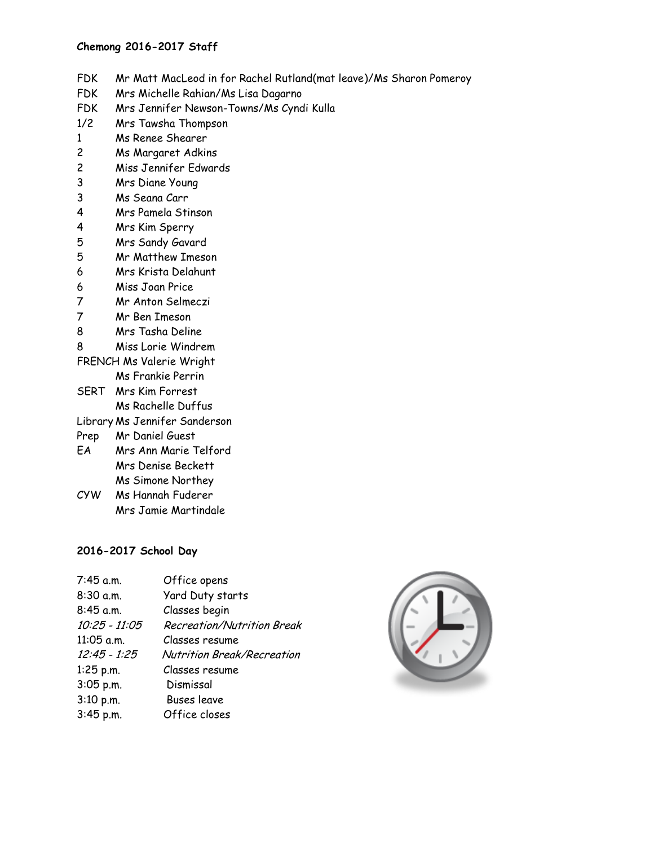#### **Chemong 2016-2017 Staff**

- FDK Mr Matt MacLeod in for Rachel Rutland(mat leave)/Ms Sharon Pomeroy
- FDK Mrs Michelle Rahian/Ms Lisa Dagarno
- FDK Mrs Jennifer Newson-Towns/Ms Cyndi Kulla
- 1/2 Mrs Tawsha Thompson
- 1 Ms Renee Shearer
- 2 Ms Margaret Adkins
- 2 Miss Jennifer Edwards
- 3 Mrs Diane Young
- 3 Ms Seana Carr
- 4 Mrs Pamela Stinson
- 4 Mrs Kim Sperry
- 5 Mrs Sandy Gavard
- 5 Mr Matthew Imeson
- 6 Mrs Krista Delahunt
- 6 Miss Joan Price
- 7 Mr Anton Selmeczi
- 7 Mr Ben Imeson
- 8 Mrs Tasha Deline
- 8 Miss Lorie Windrem
- FRENCH Ms Valerie Wright Ms Frankie Perrin
- SERT Mrs Kim Forrest
- Ms Rachelle Duffus
- Library Ms Jennifer Sanderson
- Prep Mr Daniel Guest
- EA Mrs Ann Marie Telford Mrs Denise Beckett Ms Simone Northey
- CYW Ms Hannah Fuderer Mrs Jamie Martindale

#### **2016-2017 School Day**

| $7:45$ a.m.    | Office opens                      |
|----------------|-----------------------------------|
| 8:30 a.m.      | Yard Duty starts                  |
| $8:45$ a.m.    | Classes begin                     |
| 10:25 - 11:05  | <b>Recreation/Nutrition Break</b> |
| $11:05$ a.m.   | Classes resume                    |
| $12:45 - 1:25$ | Nutrition Break/Recreation        |
| $1:25$ p.m.    | Classes resume                    |
| 3:05 p.m.      | Dismissal                         |
| 3:10 p.m.      | <b>Buses leave</b>                |
| 3:45 p.m.      | Office closes                     |
|                |                                   |

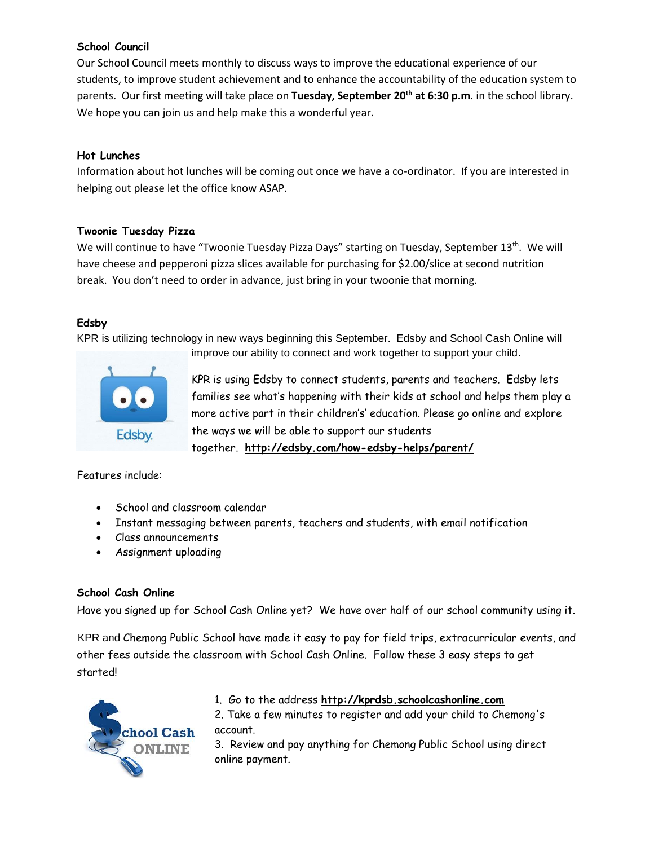#### **School Council**

Our School Council meets monthly to discuss ways to improve the educational experience of our students, to improve student achievement and to enhance the accountability of the education system to parents. Our first meeting will take place on **Tuesday, September 20th at 6:30 p.m**. in the school library. We hope you can join us and help make this a wonderful year.

#### **Hot Lunches**

Information about hot lunches will be coming out once we have a co-ordinator. If you are interested in helping out please let the office know ASAP.

#### **Twoonie Tuesday Pizza**

We will continue to have "Twoonie Tuesday Pizza Days" starting on Tuesday, September 13<sup>th</sup>. We will have cheese and pepperoni pizza slices available for purchasing for \$2.00/slice at second nutrition break. You don't need to order in advance, just bring in your twoonie that morning.

#### **Edsby**

KPR is utilizing technology in new ways beginning this September. Edsby and School Cash Online will



improve our ability to connect and work together to support your child.

KPR is using Edsby to connect students, parents and teachers. Edsby lets families see what's happening with their kids at school and helps them play a more active part in their children's' education. Please go online and explore the ways we will be able to support our students together. **<http://edsby.com/how-edsby-helps/parent/>**

Features include:

- School and classroom calendar
- Instant messaging between parents, teachers and students, with email notification
- Class announcements
- Assignment uploading

#### **School Cash Online**

Have you signed up for School Cash Online yet? We have over half of our school community using it.

KPR and Chemong Public School have made it easy to pay for field trips, extracurricular events, and other fees outside the classroom with School Cash Online. Follow these 3 easy steps to get started!



#### 1. Go to the address **[http://kprdsb.schoolcashonline.com](http://kprdsb.schoolcashonline.com/)**

2. Take a few minutes to register and add your child to Chemong's account.

3. Review and pay anything for Chemong Public School using direct online payment.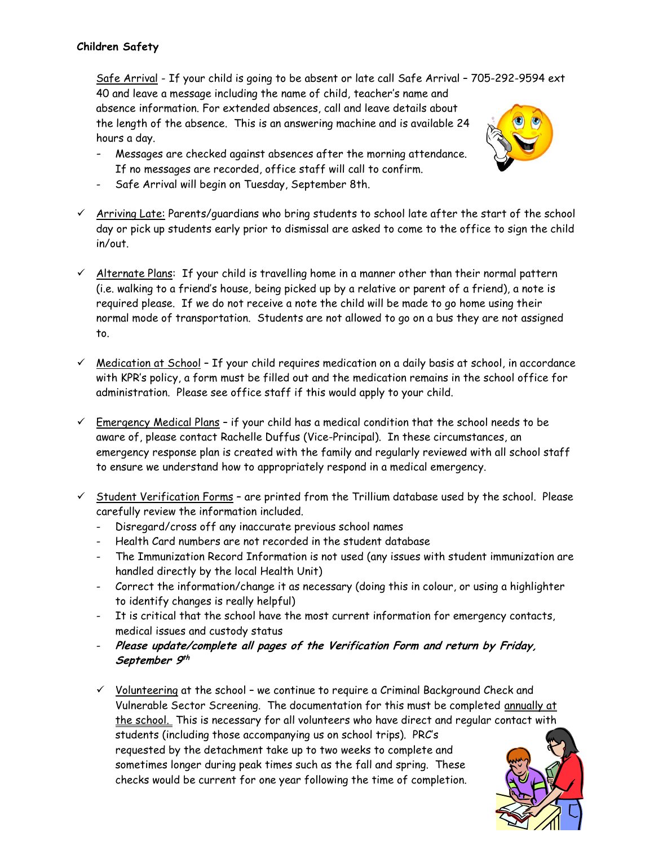Safe Arrival - If your child is going to be absent or late call Safe Arrival – 705-292-9594 ext 40 and leave a message including the name of child, teacher's name and absence information. For extended absences, call and leave details about the length of the absence. This is an answering machine and is available 24 hours a day.

- Messages are checked against absences after the morning attendance. If no messages are recorded, office staff will call to confirm.
- Safe Arrival will begin on Tuesday, September 8th.
- $\checkmark$  Arriving Late: Parents/guardians who bring students to school late after the start of the school day or pick up students early prior to dismissal are asked to come to the office to sign the child in/out.
- $\checkmark$  Alternate Plans: If your child is travelling home in a manner other than their normal pattern (i.e. walking to a friend's house, being picked up by a relative or parent of a friend), a note is required please. If we do not receive a note the child will be made to go home using their normal mode of transportation. Students are not allowed to go on a bus they are not assigned to.
- $\checkmark$  Medication at School If your child requires medication on a daily basis at school, in accordance with KPR's policy, a form must be filled out and the medication remains in the school office for administration. Please see office staff if this would apply to your child.
- $\checkmark$  Emergency Medical Plans if your child has a medical condition that the school needs to be aware of, please contact Rachelle Duffus (Vice-Principal). In these circumstances, an emergency response plan is created with the family and regularly reviewed with all school staff to ensure we understand how to appropriately respond in a medical emergency.
- $\checkmark$  Student Verification Forms are printed from the Trillium database used by the school. Please carefully review the information included.
	- Disregard/cross off any inaccurate previous school names
	- Health Card numbers are not recorded in the student database
	- The Immunization Record Information is not used (any issues with student immunization are handled directly by the local Health Unit)
	- Correct the information/change it as necessary (doing this in colour, or using a highlighter to identify changes is really helpful)
	- It is critical that the school have the most current information for emergency contacts, medical issues and custody status
	- **Please update/complete all pages of the Verification Form and return by Friday, September 9 th**
	- $\checkmark$  Volunteering at the school we continue to require a Criminal Background Check and Vulnerable Sector Screening. The documentation for this must be completed annually at the school. This is necessary for all volunteers who have direct and regular contact with students (including those accompanying us on school trips). PRC's requested by the detachment take up to two weeks to complete and sometimes longer during peak times such as the fall and spring. These checks would be current for one year following the time of completion.

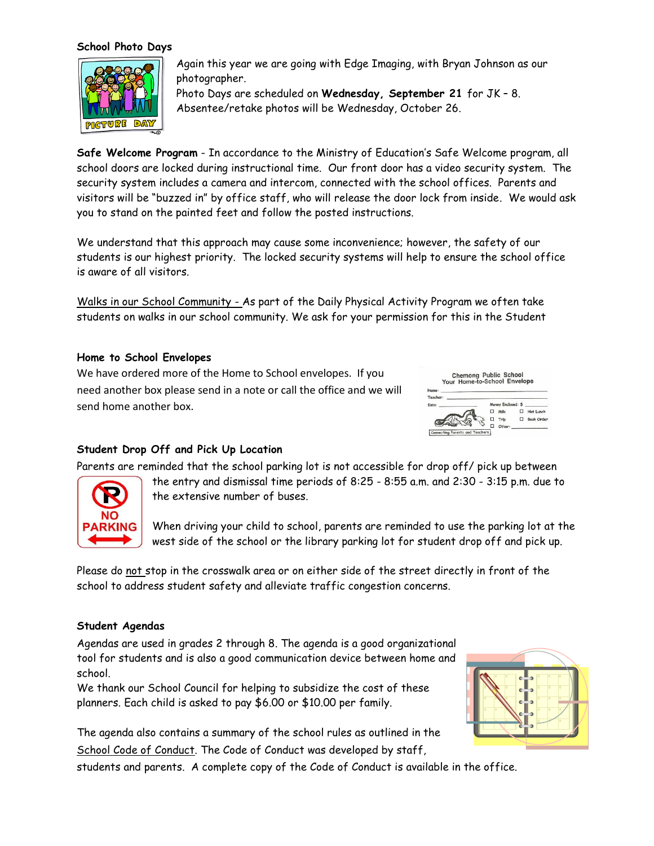#### **School Photo Days**



Again this year we are going with Edge Imaging, with Bryan Johnson as our photographer.

Photo Days are scheduled on **Wednesday, September 21** for JK – 8. Absentee/retake photos will be Wednesday, October 26.

**Safe Welcome Program** - In accordance to the Ministry of Education's Safe Welcome program, all school doors are locked during instructional time. Our front door has a video security system. The security system includes a camera and intercom, connected with the school offices. Parents and visitors will be "buzzed in" by office staff, who will release the door lock from inside. We would ask you to stand on the painted feet and follow the posted instructions.

We understand that this approach may cause some inconvenience; however, the safety of our students is our highest priority. The locked security systems will help to ensure the school office is aware of all visitors.

Walks in our School Community - As part of the Daily Physical Activity Program we often take students on walks in our school community. We ask for your permission for this in the Student

#### **Home to School Envelopes**

We have ordered more of the Home to School envelopes. If you need another box please send in a note or call the office and we will send home another box.



#### **Student Drop Off and Pick Up Location**

Parents are reminded that the school parking lot is not accessible for drop off/ pick up between



the entry and dismissal time periods of 8:25 - 8:55 a.m. and 2:30 - 3:15 p.m. due to the extensive number of buses.

When driving your child to school, parents are reminded to use the parking lot at the west side of the school or the library parking lot for student drop off and pick up.

Please do not stop in the crosswalk area or on either side of the street directly in front of the school to address student safety and alleviate traffic congestion concerns.

#### **Student Agendas**

Agendas are used in grades 2 through 8. The agenda is a good organizational tool for students and is also a good communication device between home and school.

We thank our School Council for helping to subsidize the cost of these planners. Each child is asked to pay \$6.00 or \$10.00 per family.

The agenda also contains a summary of the school rules as outlined in the School Code of Conduct. The Code of Conduct was developed by staff,

students and parents. A complete copy of the Code of Conduct is available in the office.

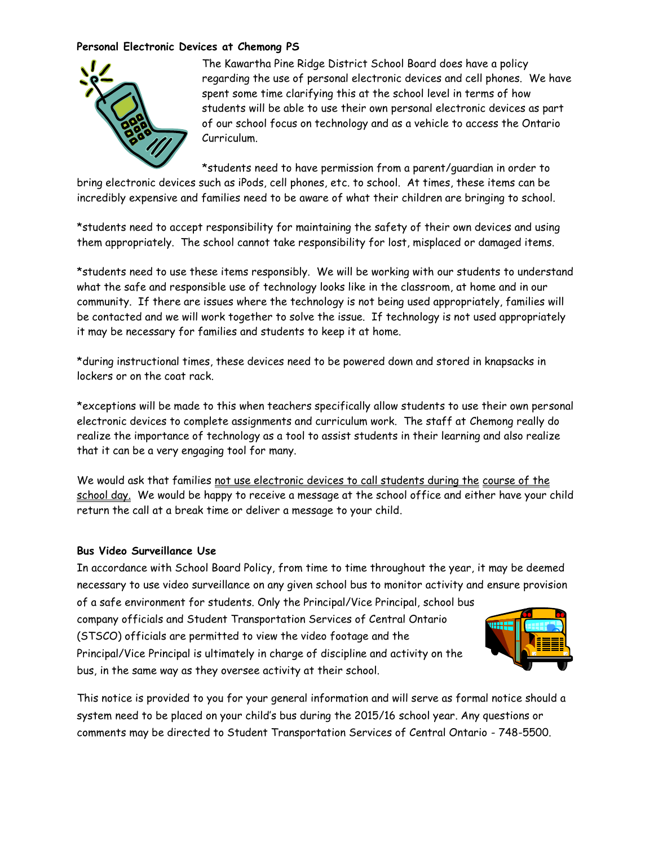#### **Personal Electronic Devices at Chemong PS**



The Kawartha Pine Ridge District School Board does have a policy regarding the use of personal electronic devices and cell phones. We have spent some time clarifying this at the school level in terms of how students will be able to use their own personal electronic devices as part of our school focus on technology and as a vehicle to access the Ontario Curriculum.

\*students need to have permission from a parent/guardian in order to

bring electronic devices such as iPods, cell phones, etc. to school. At times, these items can be incredibly expensive and families need to be aware of what their children are bringing to school.

\*students need to accept responsibility for maintaining the safety of their own devices and using them appropriately. The school cannot take responsibility for lost, misplaced or damaged items.

\*students need to use these items responsibly. We will be working with our students to understand what the safe and responsible use of technology looks like in the classroom, at home and in our community. If there are issues where the technology is not being used appropriately, families will be contacted and we will work together to solve the issue. If technology is not used appropriately it may be necessary for families and students to keep it at home.

\*during instructional times, these devices need to be powered down and stored in knapsacks in lockers or on the coat rack.

\*exceptions will be made to this when teachers specifically allow students to use their own personal electronic devices to complete assignments and curriculum work. The staff at Chemong really do realize the importance of technology as a tool to assist students in their learning and also realize that it can be a very engaging tool for many.

We would ask that families not use electronic devices to call students during the course of the school day. We would be happy to receive a message at the school office and either have your child return the call at a break time or deliver a message to your child.

#### **Bus Video Surveillance Use**

In accordance with School Board Policy, from time to time throughout the year, it may be deemed necessary to use video surveillance on any given school bus to monitor activity and ensure provision

of a safe environment for students. Only the Principal/Vice Principal, school bus company officials and Student Transportation Services of Central Ontario (STSCO) officials are permitted to view the video footage and the Principal/Vice Principal is ultimately in charge of discipline and activity on the bus, in the same way as they oversee activity at their school.



This notice is provided to you for your general information and will serve as formal notice should a system need to be placed on your child's bus during the 2015/16 school year. Any questions or comments may be directed to Student Transportation Services of Central Ontario - 748-5500.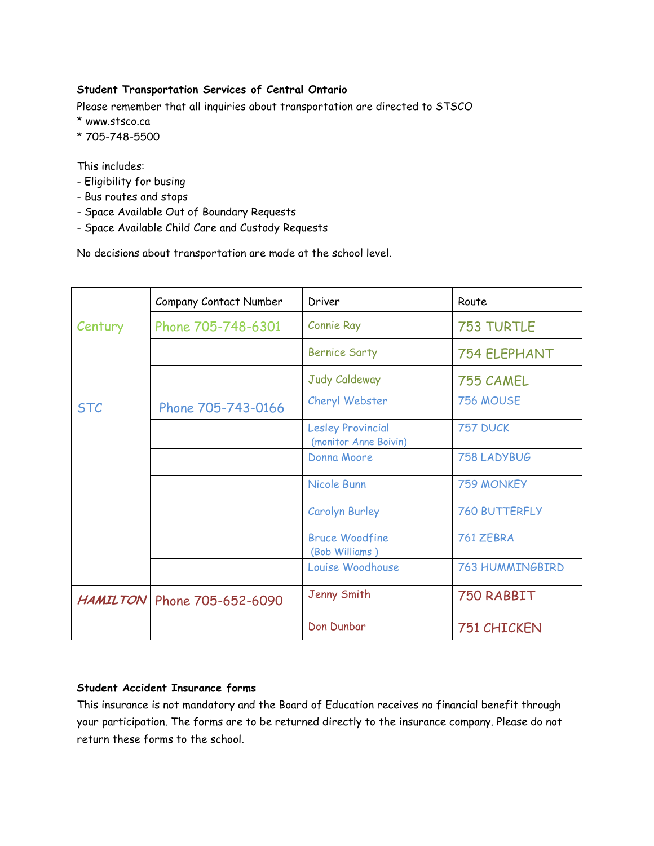#### **Student Transportation Services of Central Ontario**

Please remember that all inquiries about transportation are directed to STSCO

- \* www.stsco.ca
- \* 705-748-5500

This includes:

- Eligibility for busing
- Bus routes and stops
- Space Available Out of Boundary Requests
- Space Available Child Care and Custody Requests

No decisions about transportation are made at the school level.

|            | Company Contact Number        | Driver                                            | Route                  |
|------------|-------------------------------|---------------------------------------------------|------------------------|
| Century    | Phone 705-748-6301            | <b>Connie Ray</b>                                 | <b>753 TURTLE</b>      |
|            |                               | <b>Bernice Sarty</b>                              | <b>754 ELEPHANT</b>    |
|            |                               | Judy Caldeway                                     | 755 CAMEL              |
| <b>STC</b> | Phone 705-743-0166            | Cheryl Webster                                    | 756 MOUSE              |
|            |                               | <b>Lesley Provincial</b><br>(monitor Anne Boivin) | <b>757 DUCK</b>        |
|            |                               | Donna Moore                                       | 758 LADYBUG            |
|            |                               | Nicole Bunn                                       | <b>759 MONKEY</b>      |
|            |                               | <b>Carolyn Burley</b>                             | <b>760 BUTTERFLY</b>   |
|            |                               | <b>Bruce Woodfine</b><br>(Bob Williams)           | 761 ZEBRA              |
|            |                               | Louise Woodhouse                                  | <b>763 HUMMINGBIRD</b> |
|            | HAMILTON   Phone 705-652-6090 | Jenny Smith                                       | 750 RABBIT             |
|            |                               | Don Dunbar                                        | 751 CHICKEN            |

#### **Student Accident Insurance forms**

This insurance is not mandatory and the Board of Education receives no financial benefit through your participation. The forms are to be returned directly to the insurance company. Please do not return these forms to the school.